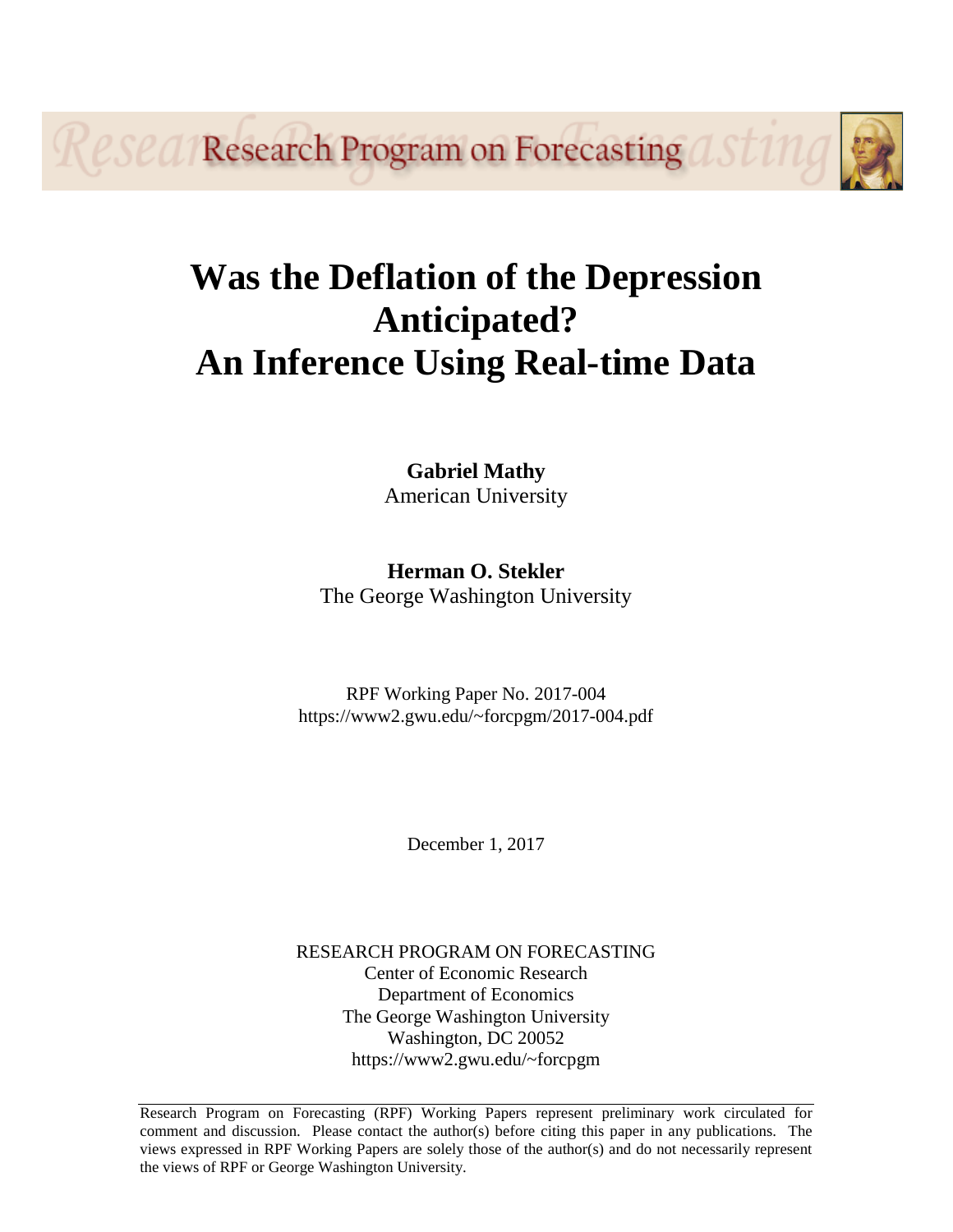*eseq/Research Program on Forecasting* 

# **Was the Deflation of the Depression Anticipated? An Inference Using Real-time Data**

# **Gabriel Mathy** American University

# **Herman O. Stekler** The George Washington University

RPF Working Paper No. 2017-004 https://www2.gwu.edu/~forcpgm/2017-004.pdf

December 1, 2017

RESEARCH PROGRAM ON FORECASTING Center of Economic Research Department of Economics The George Washington University Washington, DC 20052 https://www2.gwu.edu/~forcpgm

Research Program on Forecasting (RPF) Working Papers represent preliminary work circulated for comment and discussion. Please contact the author(s) before citing this paper in any publications. The views expressed in RPF Working Papers are solely those of the author(s) and do not necessarily represent the views of RPF or George Washington University.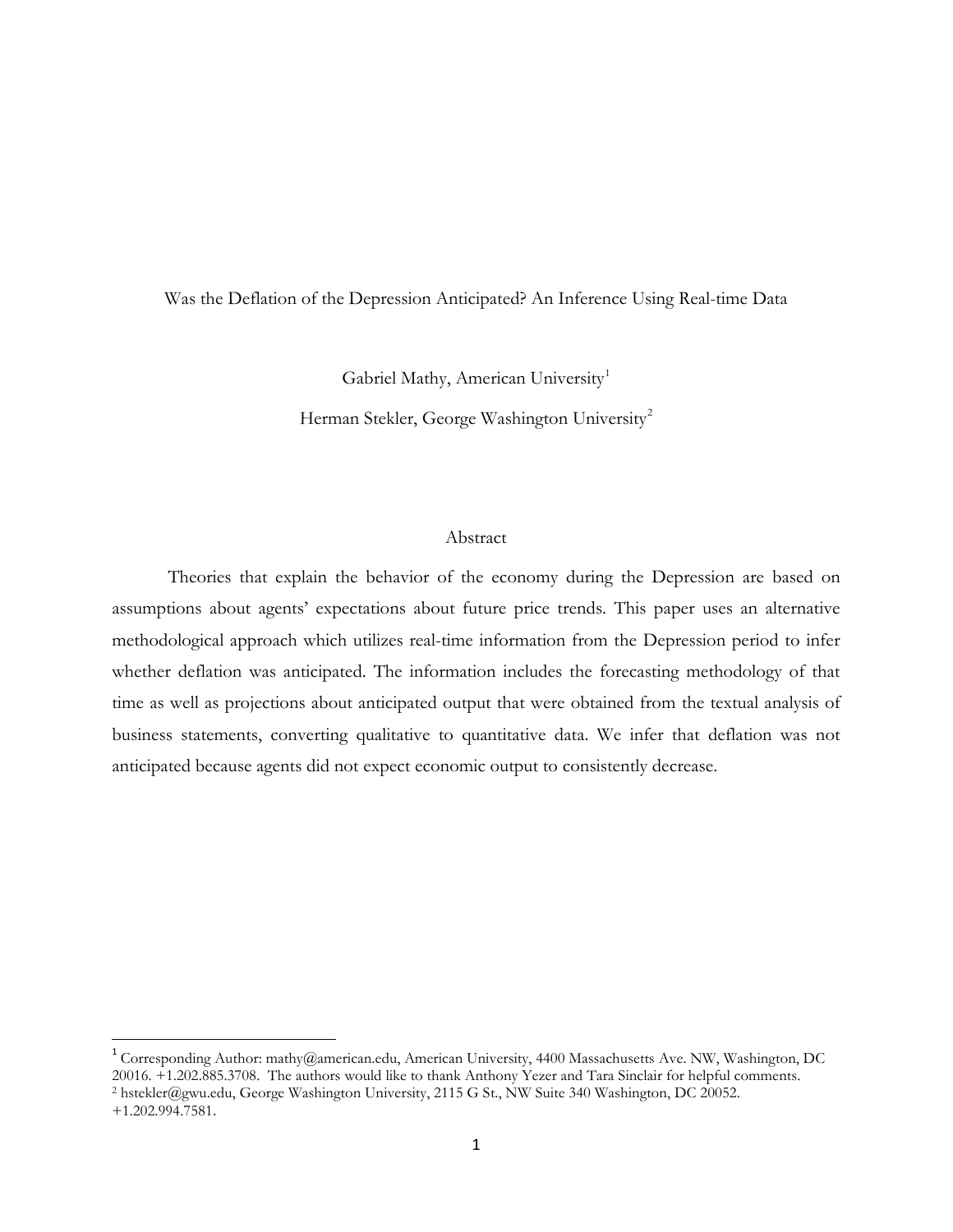## Was the Deflation of the Depression Anticipated? An Inference Using Real-time Data

Gabriel Mathy, American University<sup>[1](#page-1-0)</sup>

Herman Stekler, George Washington University<sup>[2](#page-1-1)</sup>

#### Abstract

Theories that explain the behavior of the economy during the Depression are based on assumptions about agents' expectations about future price trends. This paper uses an alternative methodological approach which utilizes real-time information from the Depression period to infer whether deflation was anticipated. The information includes the forecasting methodology of that time as well as projections about anticipated output that were obtained from the textual analysis of business statements, converting qualitative to quantitative data. We infer that deflation was not anticipated because agents did not expect economic output to consistently decrease.

<span id="page-1-1"></span><span id="page-1-0"></span> <sup>1</sup> Corresponding Author: mathy@american.edu, American University, 4400 Massachusetts Ave. NW, Washington, DC 20016. +1.202.885.3708. The authors would like to thank Anthony Yezer and Tara Sinclair for helpful comments. <sup>2</sup> hstekler@gwu.edu, George Washington University, 2115 G St., NW Suite 340 Washington, DC 20052. +1.202.994.7581.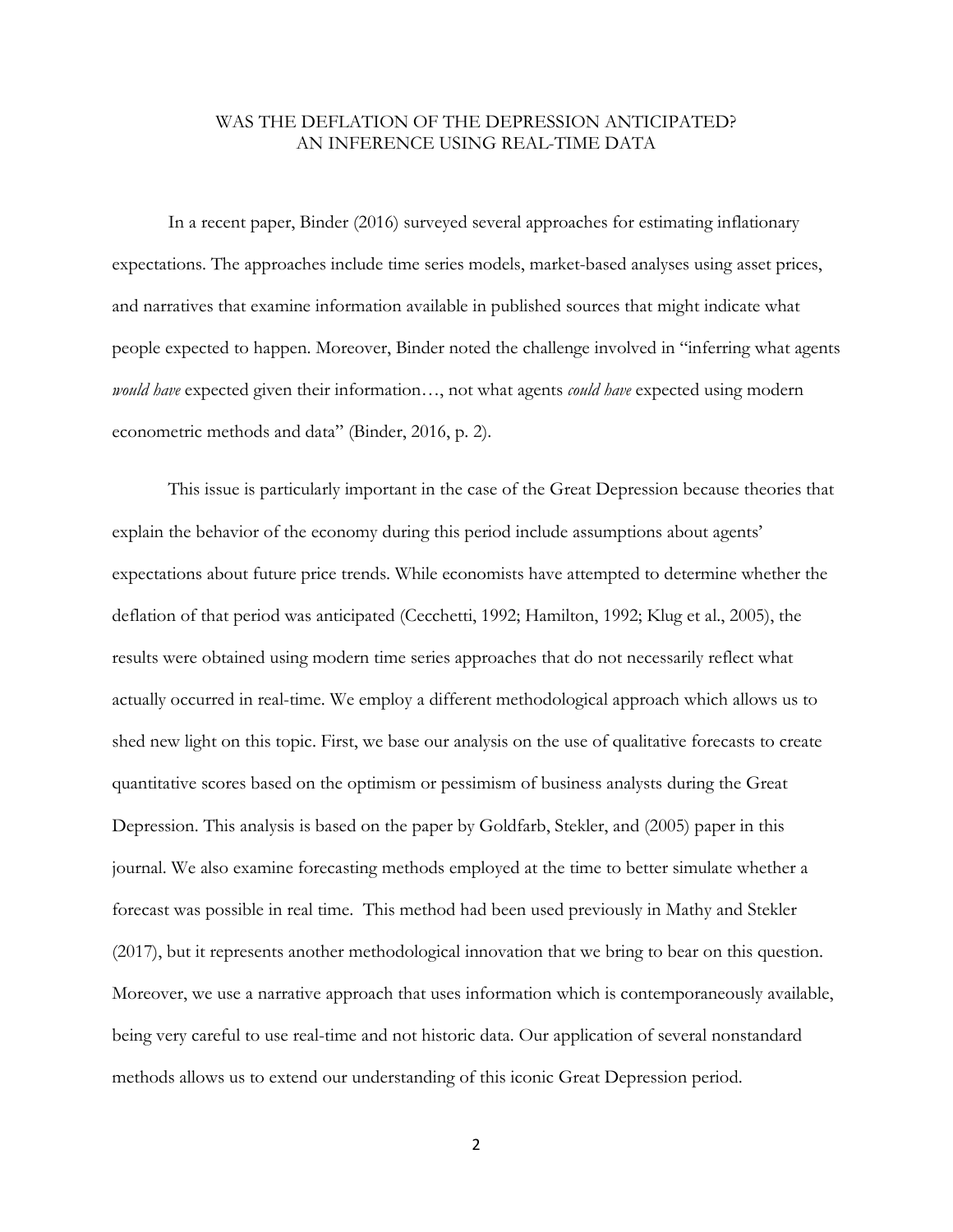## WAS THE DEFLATION OF THE DEPRESSION ANTICIPATED? AN INFERENCE USING REAL-TIME DATA

In a recent paper, Binder (2016) surveyed several approaches for estimating inflationary expectations. The approaches include time series models, market-based analyses using asset prices, and narratives that examine information available in published sources that might indicate what people expected to happen. Moreover, Binder noted the challenge involved in "inferring what agents *would have* expected given their information…, not what agents *could have* expected using modern econometric methods and data" (Binder, 2016, p. 2).

This issue is particularly important in the case of the Great Depression because theories that explain the behavior of the economy during this period include assumptions about agents' expectations about future price trends. While economists have attempted to determine whether the deflation of that period was anticipated (Cecchetti, 1992; Hamilton, 1992; Klug et al., 2005), the results were obtained using modern time series approaches that do not necessarily reflect what actually occurred in real-time. We employ a different methodological approach which allows us to shed new light on this topic. First, we base our analysis on the use of qualitative forecasts to create quantitative scores based on the optimism or pessimism of business analysts during the Great Depression. This analysis is based on the paper by Goldfarb, Stekler, and (2005) paper in this journal. We also examine forecasting methods employed at the time to better simulate whether a forecast was possible in real time. This method had been used previously in Mathy and Stekler (2017), but it represents another methodological innovation that we bring to bear on this question. Moreover, we use a narrative approach that uses information which is contemporaneously available, being very careful to use real-time and not historic data. Our application of several nonstandard methods allows us to extend our understanding of this iconic Great Depression period.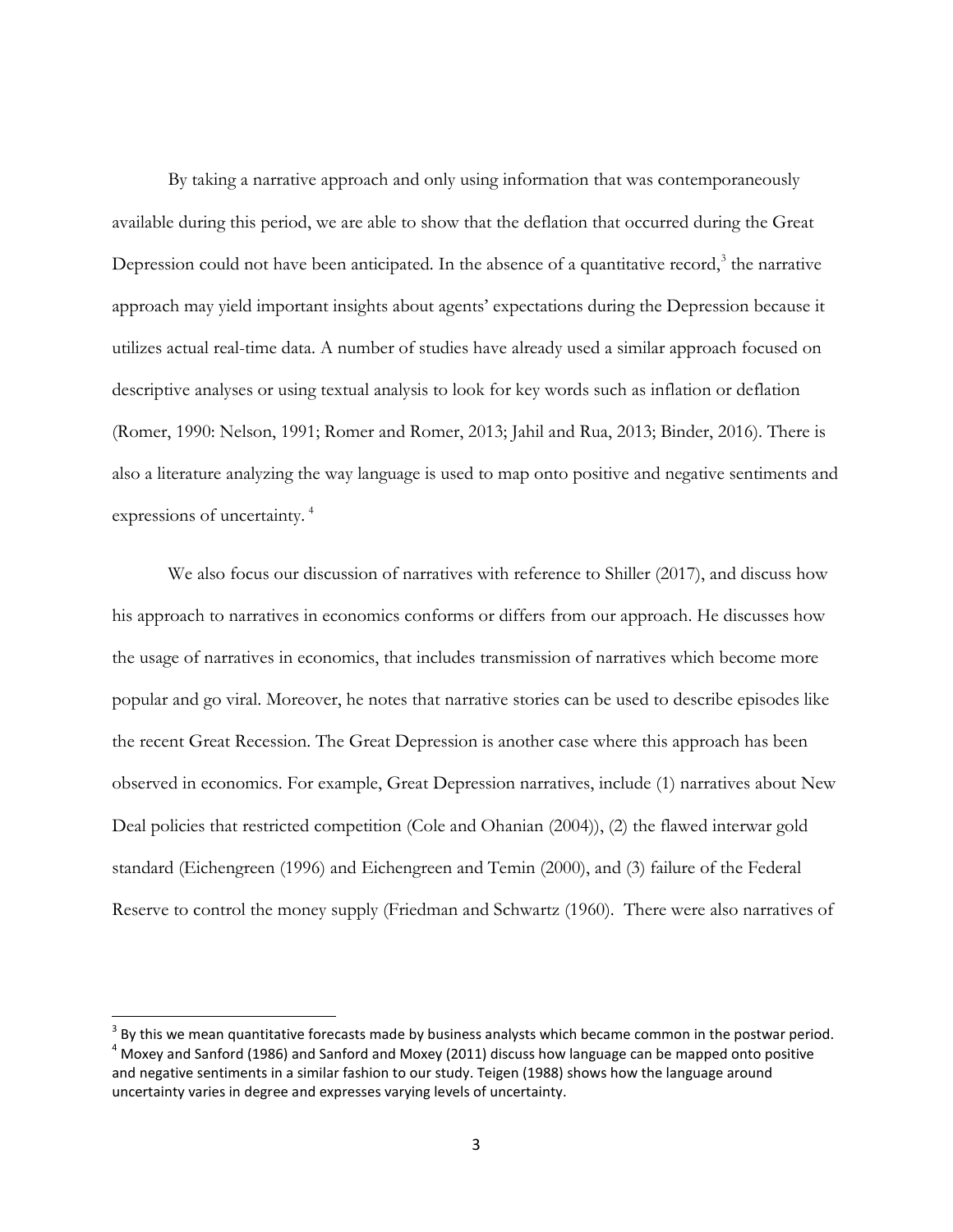By taking a narrative approach and only using information that was contemporaneously available during this period, we are able to show that the deflation that occurred during the Great Depression could not have been anticipated. In the absence of a quantitative record, $3$  the narrative approach may yield important insights about agents' expectations during the Depression because it utilizes actual real-time data. A number of studies have already used a similar approach focused on descriptive analyses or using textual analysis to look for key words such as inflation or deflation (Romer, 1990: Nelson, 1991; Romer and Romer, 2013; Jahil and Rua, 2013; Binder, 2016). There is also a literature analyzing the way language is used to map onto positive and negative sentiments and expressions of uncertainty. [4](#page-3-1)

We also focus our discussion of narratives with reference to Shiller (2017), and discuss how his approach to narratives in economics conforms or differs from our approach. He discusses how the usage of narratives in economics, that includes transmission of narratives which become more popular and go viral. Moreover, he notes that narrative stories can be used to describe episodes like the recent Great Recession. The Great Depression is another case where this approach has been observed in economics. For example, Great Depression narratives, include (1) narratives about New Deal policies that restricted competition (Cole and Ohanian (2004)), (2) the flawed interwar gold standard (Eichengreen (1996) and Eichengreen and Temin (2000), and (3) failure of the Federal Reserve to control the money supply (Friedman and Schwartz (1960). There were also narratives of

<span id="page-3-1"></span><span id="page-3-0"></span> $3$  By this we mean quantitative forecasts made by business analysts which became common in the postwar period.  $4$  Moxey and Sanford (1986) and Sanford and Moxey (2011) discuss how language can be mapped onto positive and negative sentiments in a similar fashion to our study. Teigen (1988) shows how the language around uncertainty varies in degree and expresses varying levels of uncertainty.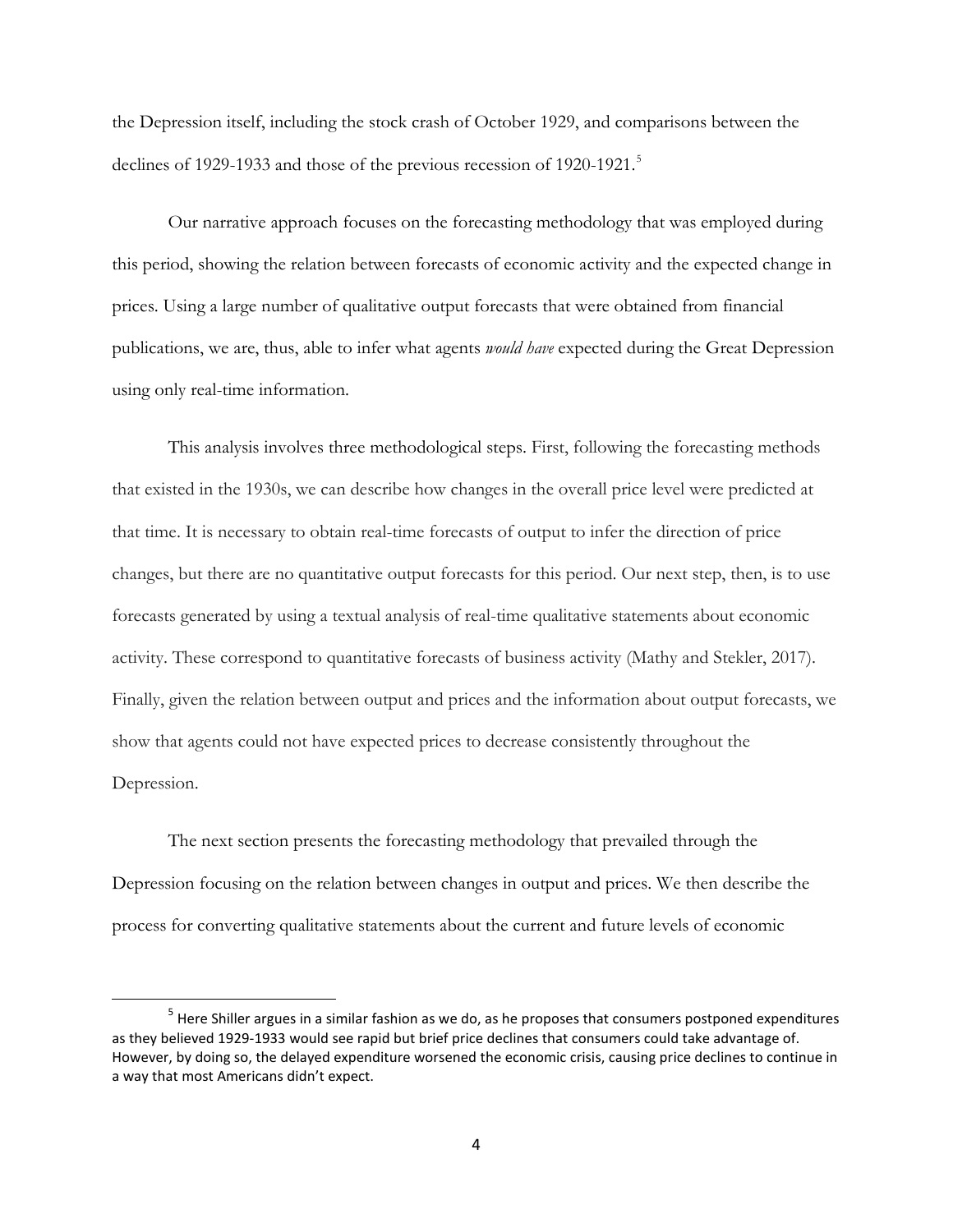the Depression itself, including the stock crash of October 1929, and comparisons between the declines of 1929-1933 and those of the previous recession of 1920-1921.<sup>[5](#page-4-0)</sup>

Our narrative approach focuses on the forecasting methodology that was employed during this period, showing the relation between forecasts of economic activity and the expected change in prices. Using a large number of qualitative output forecasts that were obtained from financial publications, we are, thus, able to infer what agents *would have* expected during the Great Depression using only real-time information.

This analysis involves three methodological steps. First, following the forecasting methods that existed in the 1930s, we can describe how changes in the overall price level were predicted at that time. It is necessary to obtain real-time forecasts of output to infer the direction of price changes, but there are no quantitative output forecasts for this period. Our next step, then, is to use forecasts generated by using a textual analysis of real-time qualitative statements about economic activity. These correspond to quantitative forecasts of business activity (Mathy and Stekler, 2017). Finally, given the relation between output and prices and the information about output forecasts, we show that agents could not have expected prices to decrease consistently throughout the Depression.

The next section presents the forecasting methodology that prevailed through the Depression focusing on the relation between changes in output and prices. We then describe the process for converting qualitative statements about the current and future levels of economic

<span id="page-4-0"></span><sup>&</sup>lt;sup>5</sup> Here Shiller argues in a similar fashion as we do, as he proposes that consumers postponed expenditures as they believed 1929-1933 would see rapid but brief price declines that consumers could take advantage of. However, by doing so, the delayed expenditure worsened the economic crisis, causing price declines to continue in a way that most Americans didn't expect.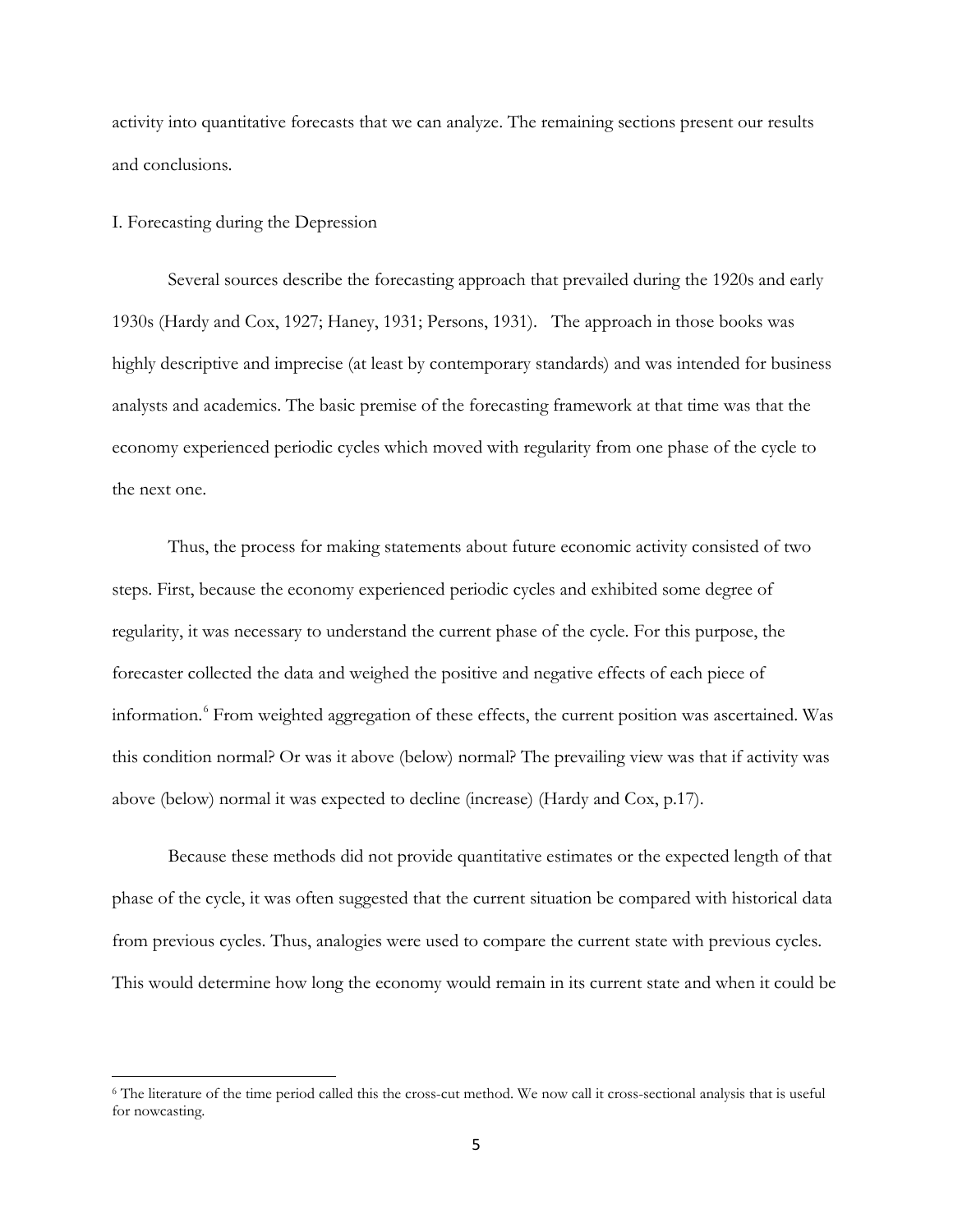activity into quantitative forecasts that we can analyze. The remaining sections present our results and conclusions.

#### I. Forecasting during the Depression

 $\overline{\phantom{a}}$ 

Several sources describe the forecasting approach that prevailed during the 1920s and early 1930s (Hardy and Cox, 1927; Haney, 1931; Persons, 1931). The approach in those books was highly descriptive and imprecise (at least by contemporary standards) and was intended for business analysts and academics. The basic premise of the forecasting framework at that time was that the economy experienced periodic cycles which moved with regularity from one phase of the cycle to the next one.

Thus, the process for making statements about future economic activity consisted of two steps. First, because the economy experienced periodic cycles and exhibited some degree of regularity, it was necessary to understand the current phase of the cycle. For this purpose, the forecaster collected the data and weighed the positive and negative effects of each piece of information.<sup>[6](#page-5-0)</sup> From weighted aggregation of these effects, the current position was ascertained. Was this condition normal? Or was it above (below) normal? The prevailing view was that if activity was above (below) normal it was expected to decline (increase) (Hardy and Cox, p.17).

Because these methods did not provide quantitative estimates or the expected length of that phase of the cycle, it was often suggested that the current situation be compared with historical data from previous cycles. Thus, analogies were used to compare the current state with previous cycles. This would determine how long the economy would remain in its current state and when it could be

<span id="page-5-0"></span><sup>6</sup> The literature of the time period called this the cross-cut method. We now call it cross-sectional analysis that is useful for nowcasting.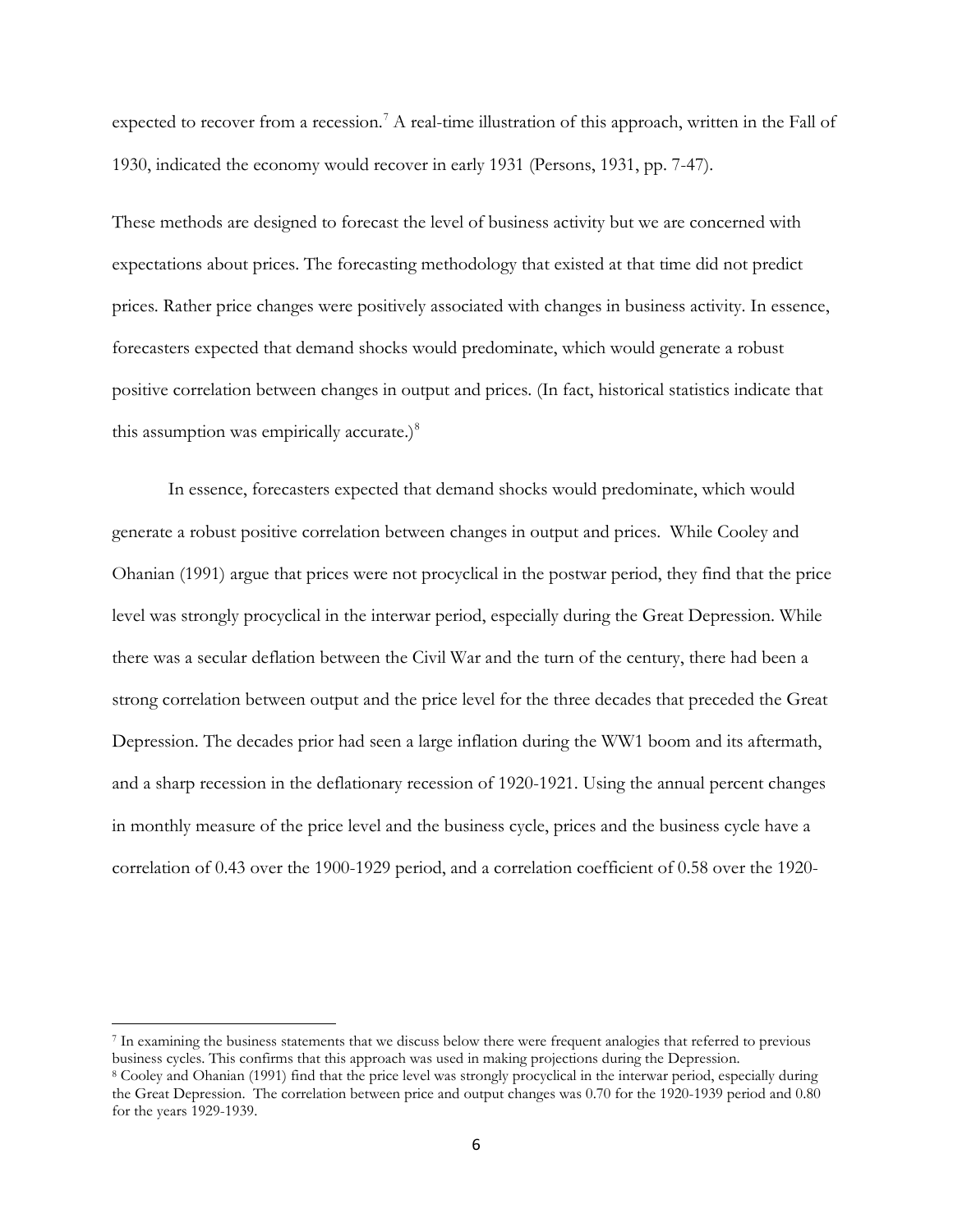expected to recover from a recession.<sup>[7](#page-6-0)</sup> A real-time illustration of this approach, written in the Fall of 1930, indicated the economy would recover in early 1931 (Persons, 1931, pp. 7-47).

These methods are designed to forecast the level of business activity but we are concerned with expectations about prices. The forecasting methodology that existed at that time did not predict prices. Rather price changes were positively associated with changes in business activity. In essence, forecasters expected that demand shocks would predominate, which would generate a robust positive correlation between changes in output and prices. (In fact, historical statistics indicate that this assumption was empirically accurate.)<sup>[8](#page-6-1)</sup>

In essence, forecasters expected that demand shocks would predominate, which would generate a robust positive correlation between changes in output and prices. While Cooley and Ohanian (1991) argue that prices were not procyclical in the postwar period, they find that the price level was strongly procyclical in the interwar period, especially during the Great Depression. While there was a secular deflation between the Civil War and the turn of the century, there had been a strong correlation between output and the price level for the three decades that preceded the Great Depression. The decades prior had seen a large inflation during the WW1 boom and its aftermath, and a sharp recession in the deflationary recession of 1920-1921. Using the annual percent changes in monthly measure of the price level and the business cycle, prices and the business cycle have a correlation of 0.43 over the 1900-1929 period, and a correlation coefficient of 0.58 over the 1920-

 $\overline{\phantom{a}}$ 

<span id="page-6-0"></span><sup>7</sup> In examining the business statements that we discuss below there were frequent analogies that referred to previous business cycles. This confirms that this approach was used in making projections during the Depression.

<span id="page-6-1"></span><sup>8</sup> Cooley and Ohanian (1991) find that the price level was strongly procyclical in the interwar period, especially during the Great Depression. The correlation between price and output changes was 0.70 for the 1920-1939 period and 0.80 for the years 1929-1939.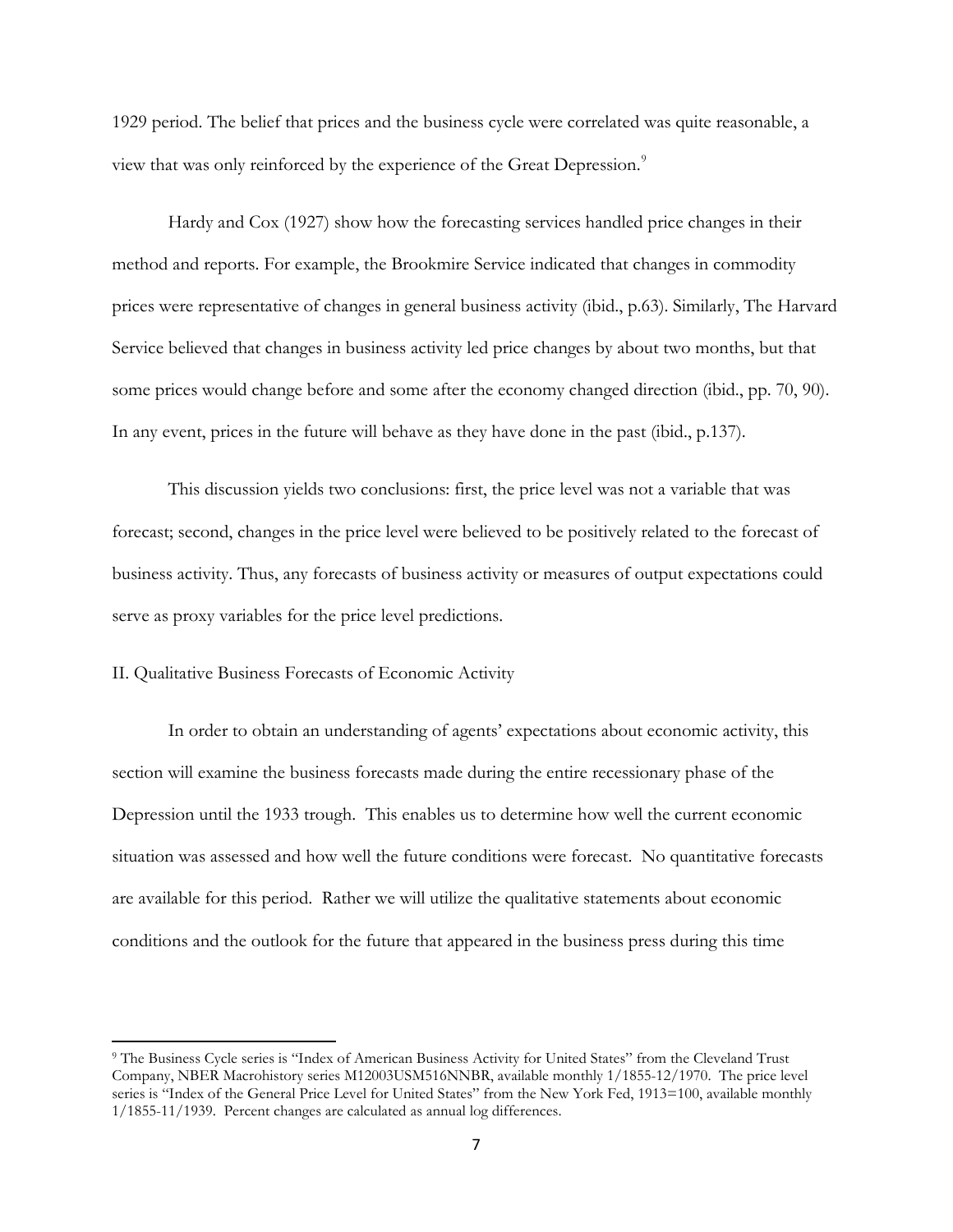1929 period. The belief that prices and the business cycle were correlated was quite reasonable, a view that was only reinforced by the experience of the Great Depression.<sup>[9](#page-7-0)</sup>

Hardy and Cox (1927) show how the forecasting services handled price changes in their method and reports. For example, the Brookmire Service indicated that changes in commodity prices were representative of changes in general business activity (ibid., p.63). Similarly, The Harvard Service believed that changes in business activity led price changes by about two months, but that some prices would change before and some after the economy changed direction (ibid., pp. 70, 90). In any event, prices in the future will behave as they have done in the past (ibid., p.137).

This discussion yields two conclusions: first, the price level was not a variable that was forecast; second, changes in the price level were believed to be positively related to the forecast of business activity. Thus, any forecasts of business activity or measures of output expectations could serve as proxy variables for the price level predictions.

#### II. Qualitative Business Forecasts of Economic Activity

 $\overline{\phantom{a}}$ 

In order to obtain an understanding of agents' expectations about economic activity, this section will examine the business forecasts made during the entire recessionary phase of the Depression until the 1933 trough. This enables us to determine how well the current economic situation was assessed and how well the future conditions were forecast. No quantitative forecasts are available for this period. Rather we will utilize the qualitative statements about economic conditions and the outlook for the future that appeared in the business press during this time

<span id="page-7-0"></span><sup>9</sup> The Business Cycle series is "Index of American Business Activity for United States" from the Cleveland Trust Company, NBER Macrohistory series M12003USM516NNBR, available monthly 1/1855-12/1970. The price level series is "Index of the General Price Level for United States" from the New York Fed, 1913=100, available monthly 1/1855-11/1939. Percent changes are calculated as annual log differences.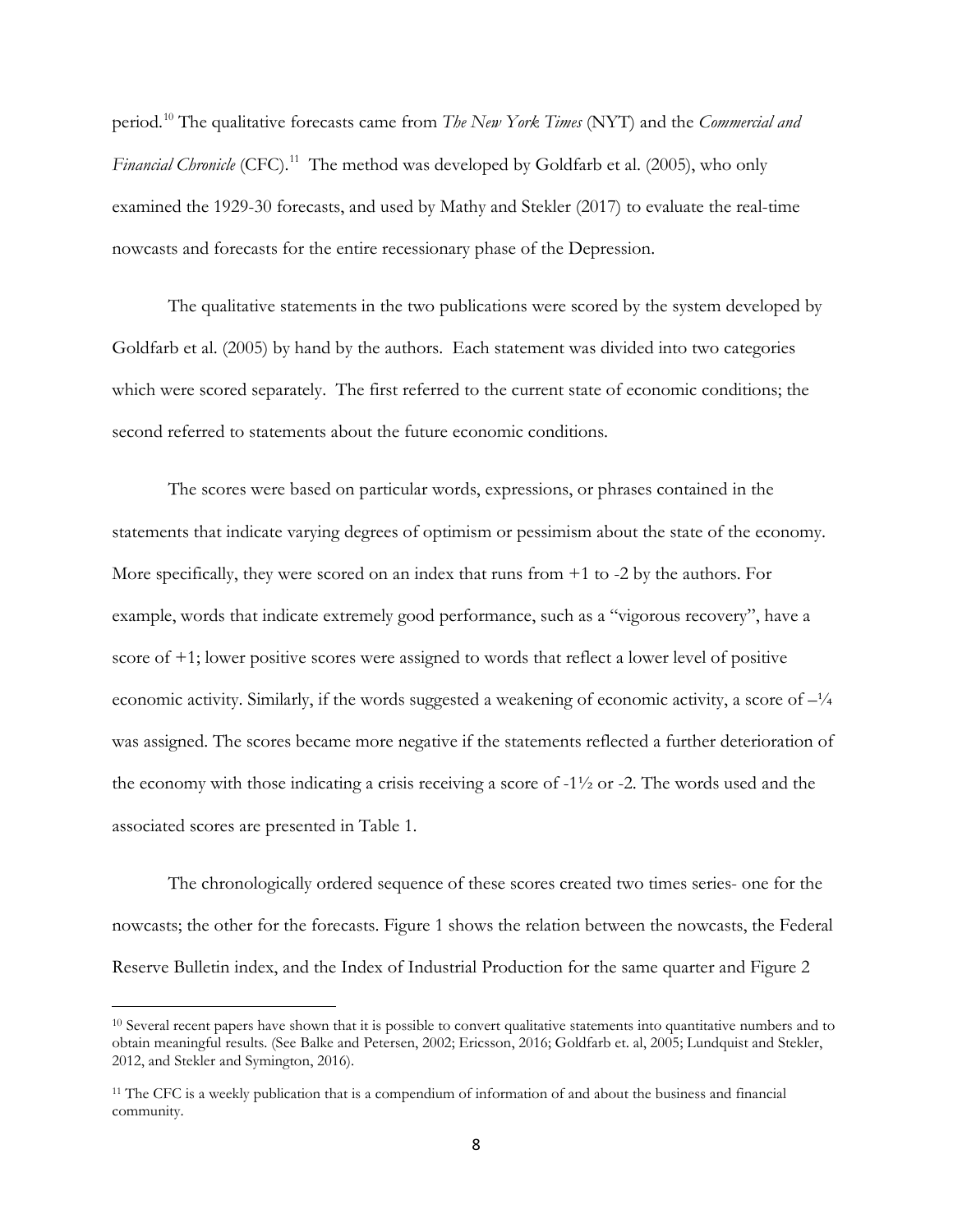period.[10](#page-8-0) The qualitative forecasts came from *The New York Times* (NYT) and the *Commercial and Financial Chronicle* (CFC).<sup>[11](#page-8-1)</sup> The method was developed by Goldfarb et al. (2005), who only examined the 1929-30 forecasts, and used by Mathy and Stekler (2017) to evaluate the real-time nowcasts and forecasts for the entire recessionary phase of the Depression.

The qualitative statements in the two publications were scored by the system developed by Goldfarb et al. (2005) by hand by the authors. Each statement was divided into two categories which were scored separately. The first referred to the current state of economic conditions; the second referred to statements about the future economic conditions.

The scores were based on particular words, expressions, or phrases contained in the statements that indicate varying degrees of optimism or pessimism about the state of the economy. More specifically, they were scored on an index that runs from +1 to -2 by the authors. For example, words that indicate extremely good performance, such as a "vigorous recovery", have a score of +1; lower positive scores were assigned to words that reflect a lower level of positive economic activity. Similarly, if the words suggested a weakening of economic activity, a score of  $-\frac{1}{4}$ was assigned. The scores became more negative if the statements reflected a further deterioration of the economy with those indicating a crisis receiving a score of  $-1\frac{1}{2}$  or  $-2$ . The words used and the associated scores are presented in Table 1.

The chronologically ordered sequence of these scores created two times series- one for the nowcasts; the other for the forecasts. Figure 1 shows the relation between the nowcasts, the Federal Reserve Bulletin index, and the Index of Industrial Production for the same quarter and Figure 2

l

<span id="page-8-0"></span><sup>&</sup>lt;sup>10</sup> Several recent papers have shown that it is possible to convert qualitative statements into quantitative numbers and to obtain meaningful results. (See Balke and Petersen, 2002; Ericsson, 2016; Goldfarb et. al, 2005; Lundquist and Stekler, 2012, and Stekler and Symington, 2016).

<span id="page-8-1"></span><sup>&</sup>lt;sup>11</sup> The CFC is a weekly publication that is a compendium of information of and about the business and financial community.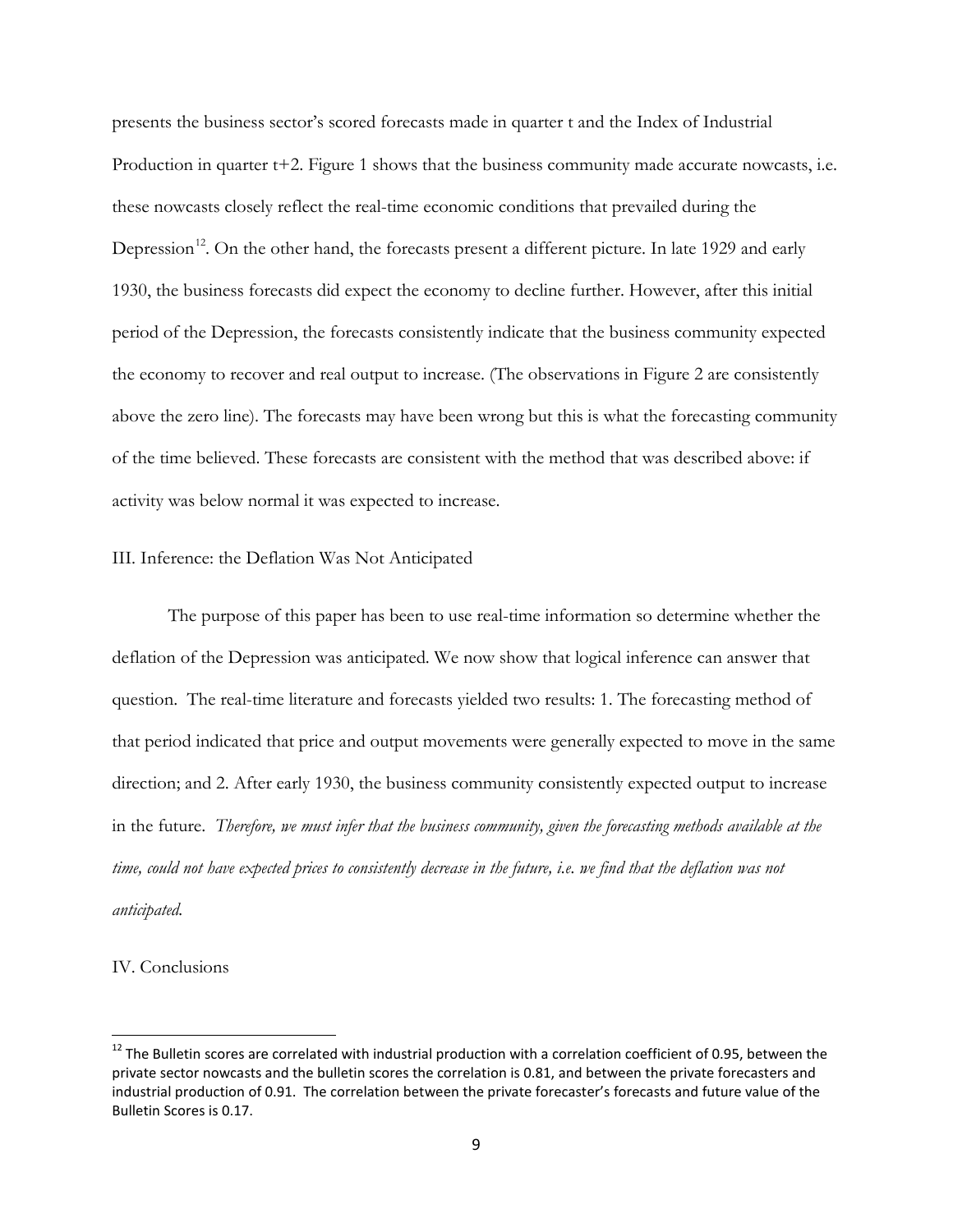presents the business sector's scored forecasts made in quarter t and the Index of Industrial Production in quarter t+2. Figure 1 shows that the business community made accurate nowcasts, i.e. these nowcasts closely reflect the real-time economic conditions that prevailed during the Depression<sup>[12](#page-9-0)</sup>. On the other hand, the forecasts present a different picture. In late 1929 and early 1930, the business forecasts did expect the economy to decline further. However, after this initial period of the Depression, the forecasts consistently indicate that the business community expected the economy to recover and real output to increase. (The observations in Figure 2 are consistently above the zero line). The forecasts may have been wrong but this is what the forecasting community of the time believed. These forecasts are consistent with the method that was described above: if activity was below normal it was expected to increase.

#### III. Inference: the Deflation Was Not Anticipated

The purpose of this paper has been to use real-time information so determine whether the deflation of the Depression was anticipated. We now show that logical inference can answer that question. The real-time literature and forecasts yielded two results: 1. The forecasting method of that period indicated that price and output movements were generally expected to move in the same direction; and 2. After early 1930, the business community consistently expected output to increase in the future. *Therefore, we must infer that the business community, given the forecasting methods available at the time, could not have expected prices to consistently decrease in the future, i.e. we find that the deflation was not anticipated.*

## IV. Conclusions

<span id="page-9-0"></span> $12$  The Bulletin scores are correlated with industrial production with a correlation coefficient of 0.95, between the private sector nowcasts and the bulletin scores the correlation is 0.81, and between the private forecasters and industrial production of 0.91. The correlation between the private forecaster's forecasts and future value of the Bulletin Scores is 0.17.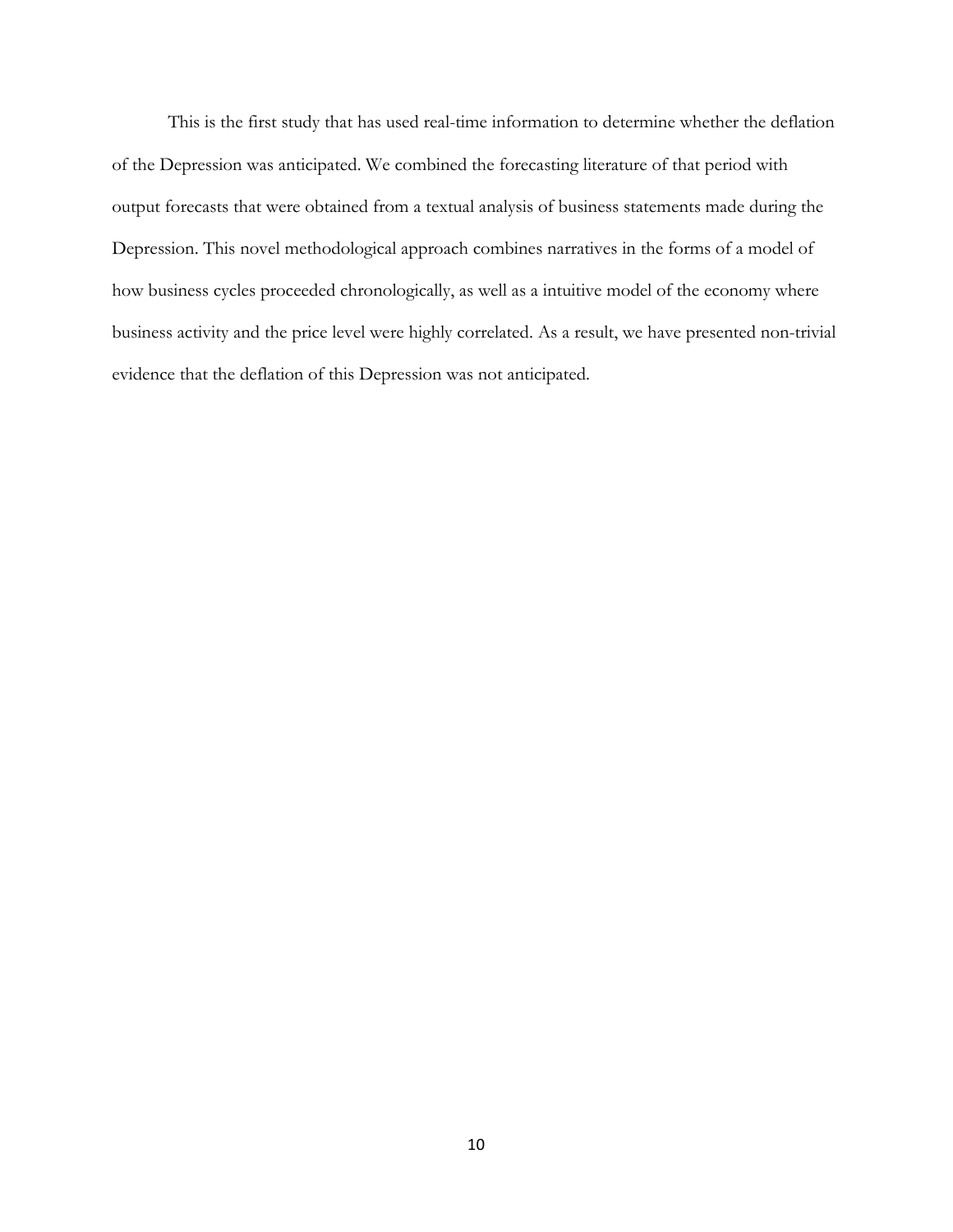This is the first study that has used real-time information to determine whether the deflation of the Depression was anticipated. We combined the forecasting literature of that period with output forecasts that were obtained from a textual analysis of business statements made during the Depression. This novel methodological approach combines narratives in the forms of a model of how business cycles proceeded chronologically, as well as a intuitive model of the economy where business activity and the price level were highly correlated. As a result, we have presented non-trivial evidence that the deflation of this Depression was not anticipated.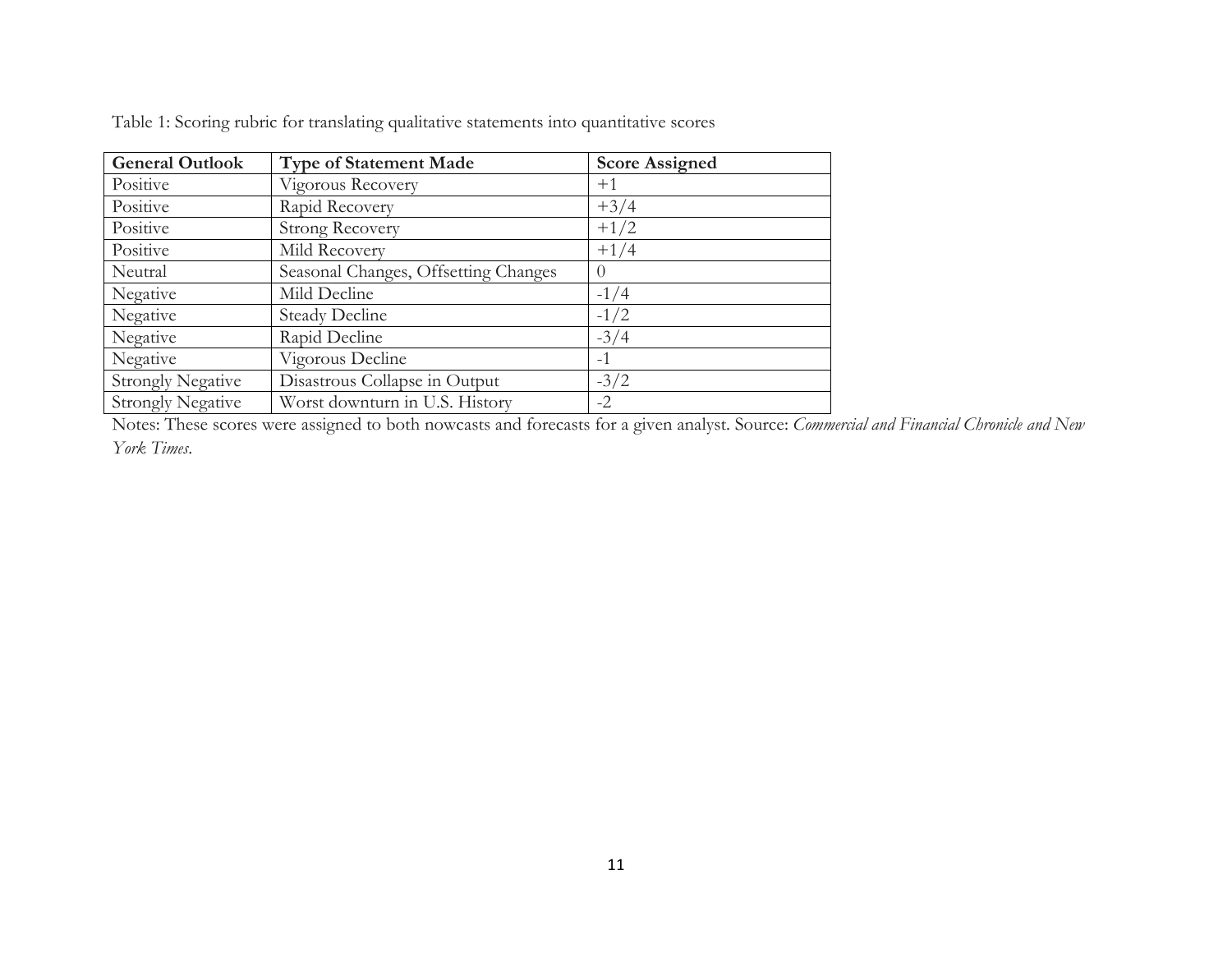| <b>General Outlook</b>   | <b>Type of Statement Made</b>        | <b>Score Assigned</b> |
|--------------------------|--------------------------------------|-----------------------|
| Positive                 | Vigorous Recovery                    | $+1$                  |
| Positive                 | Rapid Recovery                       | $+3/4$                |
| Positive                 | <b>Strong Recovery</b>               | $+1/2$                |
| Positive                 | Mild Recovery                        | $+1/4$                |
| Neutral                  | Seasonal Changes, Offsetting Changes | $\left( \right)$      |
| Negative                 | Mild Decline                         | $-1/4$                |
| Negative                 | <b>Steady Decline</b>                | $-1/2$                |
| Negative                 | Rapid Decline                        | $-3/4$                |
| Negative                 | Vigorous Decline                     | $-1$                  |
| <b>Strongly Negative</b> | Disastrous Collapse in Output        | $-3/2$                |
| <b>Strongly Negative</b> | Worst downturn in U.S. History       | $-2$                  |

Table 1: Scoring rubric for translating qualitative statements into quantitative scores

Notes: These scores were assigned to both nowcasts and forecasts for a given analyst. Source: *Commercial and Financial Chronicle and New York Times*.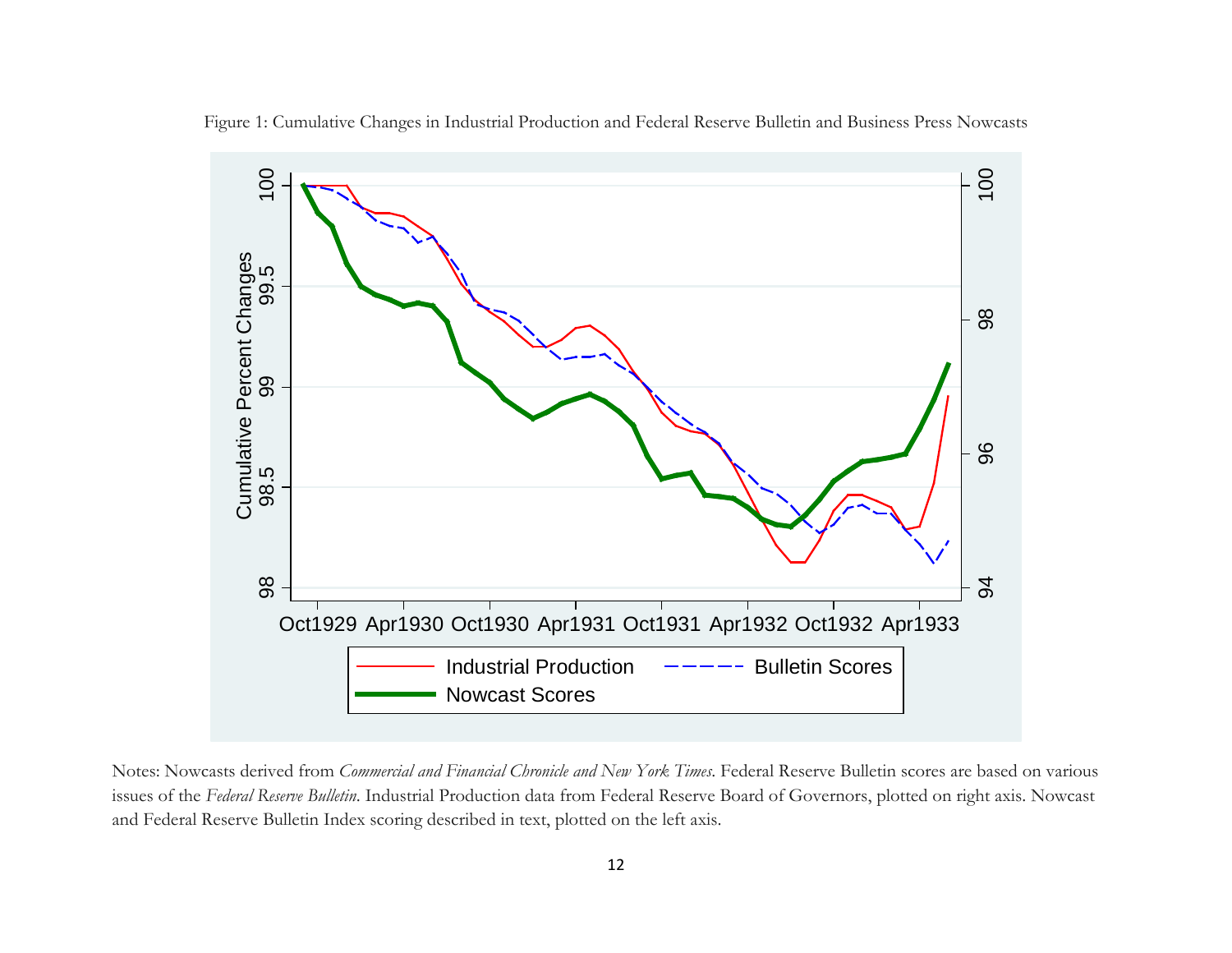

Figure 1: Cumulative Changes in Industrial Production and Federal Reserve Bulletin and Business Press Nowcasts

Notes: Nowcasts derived from *Commercial and Financial Chronicle and New York Times*. Federal Reserve Bulletin scores are based on various issues of the *Federal Reserve Bulletin*. Industrial Production data from Federal Reserve Board of Governors, plotted on right axis. Nowcast and Federal Reserve Bulletin Index scoring described in text, plotted on the left axis.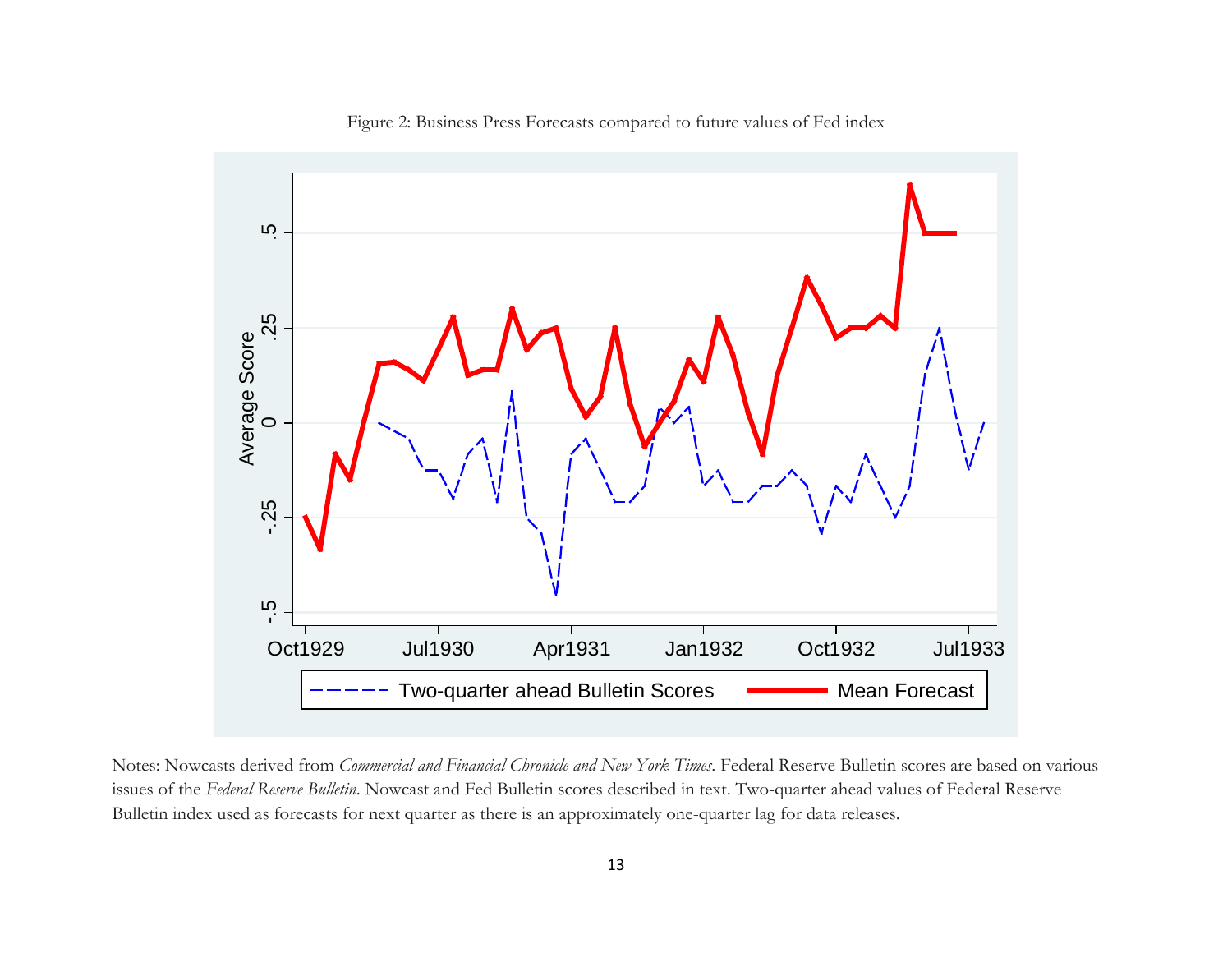

Figure 2: Business Press Forecasts compared to future values of Fed index

Notes: Nowcasts derived from *Commercial and Financial Chronicle and New York Times*. Federal Reserve Bulletin scores are based on various issues of the *Federal Reserve Bulletin*. Nowcast and Fed Bulletin scores described in text. Two-quarter ahead values of Federal Reserve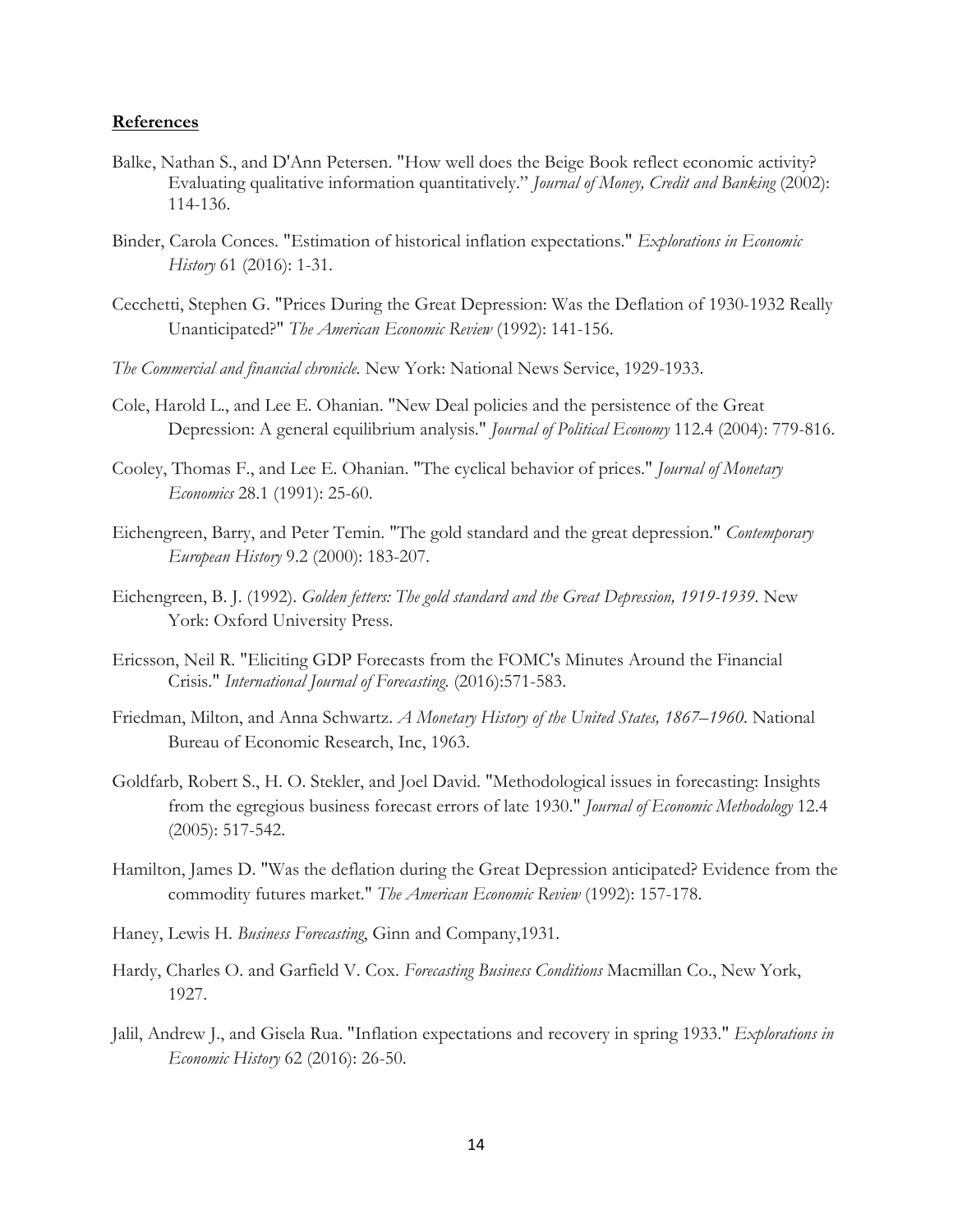#### **References**

- Balke, Nathan S., and D'Ann Petersen. "How well does the Beige Book reflect economic activity? Evaluating qualitative information quantitatively." *Journal of Money, Credit and Banking* (2002): 114-136.
- Binder, Carola Conces. "Estimation of historical inflation expectations." *Explorations in Economic History* 61 (2016): 1-31.
- Cecchetti, Stephen G. "Prices During the Great Depression: Was the Deflation of 1930-1932 Really Unanticipated?" *The American Economic Review* (1992): 141-156.
- *The Commercial and financial chronicle.* New York: National News Service, 1929-1933.
- Cole, Harold L., and Lee E. Ohanian. "New Deal policies and the persistence of the Great Depression: A general equilibrium analysis." *Journal of Political Economy* 112.4 (2004): 779-816.
- Cooley, Thomas F., and Lee E. Ohanian. "The cyclical behavior of prices." *Journal of Monetary Economics* 28.1 (1991): 25-60.
- Eichengreen, Barry, and Peter Temin. "The gold standard and the great depression." *Contemporary European History* 9.2 (2000): 183-207.
- Eichengreen, B. J. (1992). *Golden fetters: The gold standard and the Great Depression, 1919-1939*. New York: Oxford University Press.
- Ericsson, Neil R. "Eliciting GDP Forecasts from the FOMC's Minutes Around the Financial Crisis." *International Journal of Forecasting*. (2016):571-583.
- Friedman, Milton, and Anna Schwartz. *A Monetary History of the United States, 1867–1960*. National Bureau of Economic Research, Inc, 1963.
- Goldfarb, Robert S., H. O. Stekler, and Joel David. "Methodological issues in forecasting: Insights from the egregious business forecast errors of late 1930." *Journal of Economic Methodology* 12.4 (2005): 517-542.
- Hamilton, James D. "Was the deflation during the Great Depression anticipated? Evidence from the commodity futures market." *The American Economic Review* (1992): 157-178.
- Haney, Lewis H. *Business Forecasting*, Ginn and Company,1931.
- Hardy, Charles O. and Garfield V. Cox. *Forecasting Business Conditions* Macmillan Co., New York, 1927.
- Jalil, Andrew J., and Gisela Rua. "Inflation expectations and recovery in spring 1933." *Explorations in Economic History* 62 (2016): 26-50.